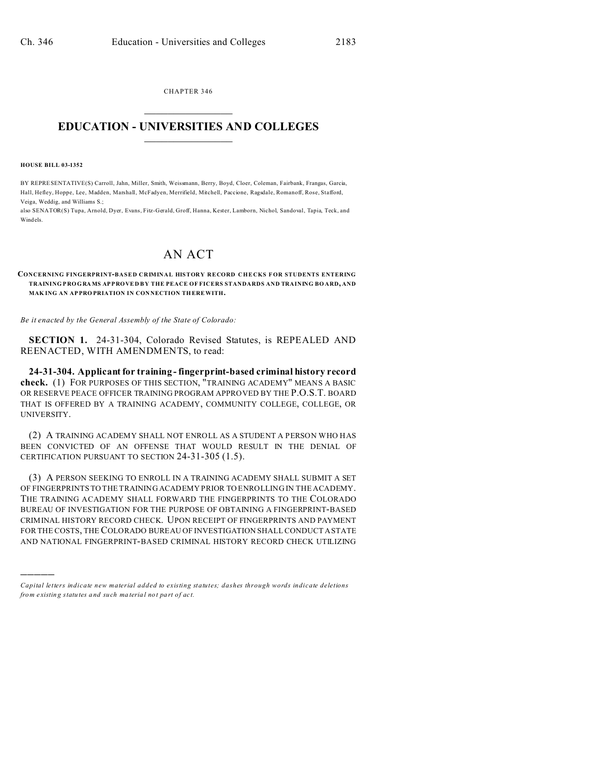CHAPTER 346  $\overline{\phantom{a}}$  , where  $\overline{\phantom{a}}$ 

## **EDUCATION - UNIVERSITIES AND COLLEGES**  $\frac{1}{2}$  ,  $\frac{1}{2}$  ,  $\frac{1}{2}$  ,  $\frac{1}{2}$  ,  $\frac{1}{2}$  ,  $\frac{1}{2}$  ,  $\frac{1}{2}$

**HOUSE BILL 03-1352**

)))))

BY REPRESENTATIVE(S) Carroll, Jahn, Miller, Smith, Weissmann, Berry, Boyd, Cloer, Coleman, Fairbank, Frangas, Garcia, Hall, Hefley, Hoppe, Lee, Madden, Marshall, McFadyen, Merrifield, Mitchell, Paccione, Ragsdale, Romanoff, Rose, Stafford, Veiga, Weddig, and Williams S.;

also SENATOR(S) Tupa, Arnold, Dyer, Evans, Fitz-Gerald, Groff, Hanna, Kester, Lamborn, Nichol, Sandoval, Tapia, Teck, and Windels.

## AN ACT

**CONCERNING FINGERPRINT-BASED CRIMINAL HISTORY RECORD CHECKS F OR STUDENTS ENTERING TRAINING PROGRA MS APPRO VE D BY THE PEACE OF FICERS STANDARDS AND TRAINING BO ARD, AND MAK ING AN AP PRO PRIATION IN CON NECTION TH EREWITH.**

*Be it enacted by the General Assembly of the State of Colorado:*

**SECTION 1.** 24-31-304, Colorado Revised Statutes, is REPEALED AND REENACTED, WITH AMENDMENTS, to read:

**24-31-304. Applicant for training - fingerprint-based criminal history record check.** (1) FOR PURPOSES OF THIS SECTION, "TRAINING ACADEMY" MEANS A BASIC OR RESERVE PEACE OFFICER TRAINING PROGRAM APPROVED BY THE P.O.S.T. BOARD THAT IS OFFERED BY A TRAINING ACADEMY, COMMUNITY COLLEGE, COLLEGE, OR UNIVERSITY.

(2) A TRAINING ACADEMY SHALL NOT ENROLL AS A STUDENT A PERSON WHO HAS BEEN CONVICTED OF AN OFFENSE THAT WOULD RESULT IN THE DENIAL OF CERTIFICATION PURSUANT TO SECTION 24-31-305 (1.5).

(3) A PERSON SEEKING TO ENROLL IN A TRAINING ACADEMY SHALL SUBMIT A SET OF FINGERPRINTS TO THE TRAINING ACADEMY PRIOR TO ENROLLING IN THE ACADEMY. THE TRAINING ACADEMY SHALL FORWARD THE FINGERPRINTS TO THE COLORADO BUREAU OF INVESTIGATION FOR THE PURPOSE OF OBTAINING A FINGERPRINT-BASED CRIMINAL HISTORY RECORD CHECK. UPON RECEIPT OF FINGERPRINTS AND PAYMENT FOR THE COSTS, THE COLORADO BUREAU OF INVESTIGATION SHALL CONDUCT A STATE AND NATIONAL FINGERPRINT-BASED CRIMINAL HISTORY RECORD CHECK UTILIZING

*Capital letters indicate new material added to existing statutes; dashes through words indicate deletions from e xistin g statu tes a nd such ma teria l no t pa rt of ac t.*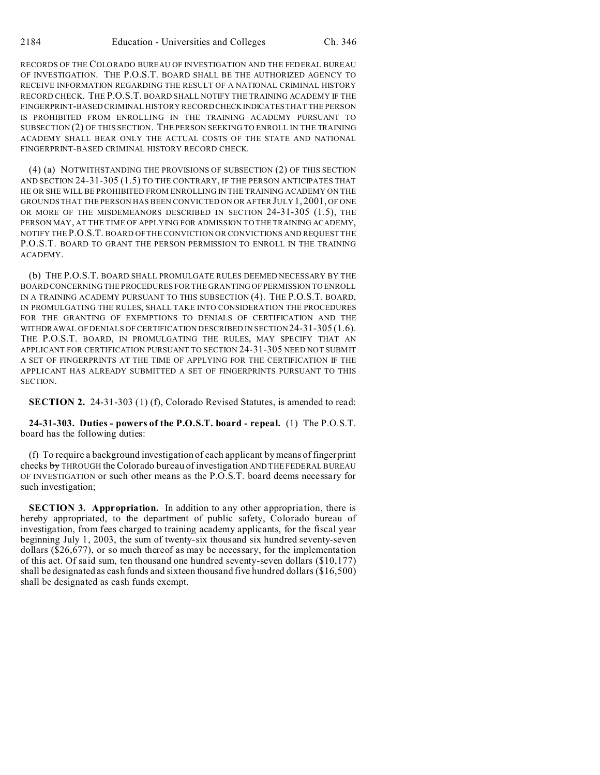RECORDS OF THE COLORADO BUREAU OF INVESTIGATION AND THE FEDERAL BUREAU OF INVESTIGATION. THE P.O.S.T. BOARD SHALL BE THE AUTHORIZED AGENCY TO RECEIVE INFORMATION REGARDING THE RESULT OF A NATIONAL CRIMINAL HISTORY RECORD CHECK. THE P.O.S.T. BOARD SHALL NOTIFY THE TRAINING ACADEMY IF THE FINGERPRINT-BASED CRIMINAL HISTORY RECORD CHECKINDICATES THAT THE PERSON IS PROHIBITED FROM ENROLLING IN THE TRAINING ACADEMY PURSUANT TO SUBSECTION (2) OF THIS SECTION. THE PERSON SEEKING TO ENROLL IN THE TRAINING ACADEMY SHALL BEAR ONLY THE ACTUAL COSTS OF THE STATE AND NATIONAL FINGERPRINT-BASED CRIMINAL HISTORY RECORD CHECK.

(4) (a) NOTWITHSTANDING THE PROVISIONS OF SUBSECTION (2) OF THIS SECTION AND SECTION 24-31-305 (1.5) TO THE CONTRARY, IF THE PERSON ANTICIPATES THAT HE OR SHE WILL BE PROHIBITED FROM ENROLLING IN THE TRAINING ACADEMY ON THE GROUNDS THAT THE PERSON HAS BEEN CONVICTED ON OR AFTER JULY 1, 2001, OF ONE OR MORE OF THE MISDEMEANORS DESCRIBED IN SECTION 24-31-305 (1.5), THE PERSON MAY, AT THE TIME OF APPLYING FOR ADMISSION TO THE TRAINING ACADEMY, NOTIFY THE P.O.S.T. BOARD OF THE CONVICTION OR CONVICTIONS AND REQUEST THE P.O.S.T. BOARD TO GRANT THE PERSON PERMISSION TO ENROLL IN THE TRAINING ACADEMY.

(b) THE P.O.S.T. BOARD SHALL PROMULGATE RULES DEEMED NECESSARY BY THE BOARD CONCERNING THE PROCEDURES FOR THE GRANTING OF PERMISSION TO ENROLL IN A TRAINING ACADEMY PURSUANT TO THIS SUBSECTION (4). THE P.O.S.T. BOARD, IN PROMULGATING THE RULES, SHALL TAKE INTO CONSIDERATION THE PROCEDURES FOR THE GRANTING OF EXEMPTIONS TO DENIALS OF CERTIFICATION AND THE WITHDRAWAL OF DENIALS OF CERTIFICATION DESCRIBED IN SECTION 24-31-305 (1.6). THE P.O.S.T. BOARD, IN PROMULGATING THE RULES, MAY SPECIFY THAT AN APPLICANT FOR CERTIFICATION PURSUANT TO SECTION 24-31-305 NEED NOT SUBMIT A SET OF FINGERPRINTS AT THE TIME OF APPLYING FOR THE CERTIFICATION IF THE APPLICANT HAS ALREADY SUBMITTED A SET OF FINGERPRINTS PURSUANT TO THIS SECTION.

**SECTION 2.** 24-31-303 (1) (f), Colorado Revised Statutes, is amended to read:

**24-31-303. Duties - powers of the P.O.S.T. board - repeal.** (1) The P.O.S.T. board has the following duties:

(f) To require a background investigation of each applicant by means of fingerprint checks by THROUGH the Colorado bureau of investigation AND THE FEDERAL BUREAU OF INVESTIGATION or such other means as the P.O.S.T. board deems necessary for such investigation;

**SECTION 3. Appropriation.** In addition to any other appropriation, there is hereby appropriated, to the department of public safety, Colorado bureau of investigation, from fees charged to training academy applicants, for the fiscal year beginning July 1, 2003, the sum of twenty-six thousand six hundred seventy-seven dollars (\$26,677), or so much thereof as may be necessary, for the implementation of this act. Of said sum, ten thousand one hundred seventy-seven dollars (\$10,177) shall be designated as cash funds and sixteen thousand five hundred dollars (\$16,500) shall be designated as cash funds exempt.